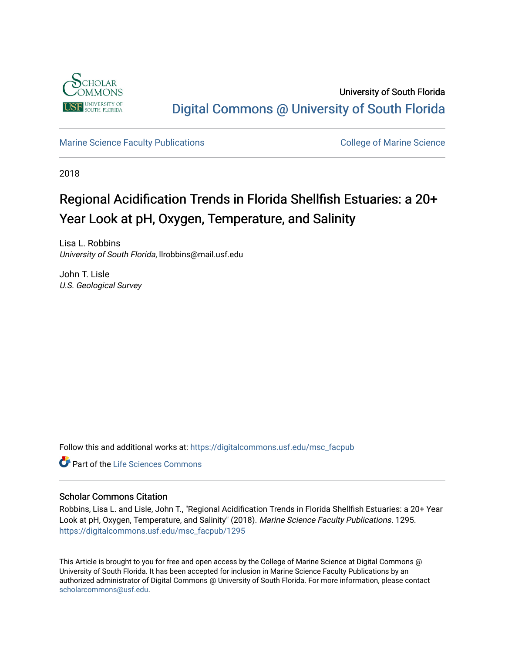

University of South Florida [Digital Commons @ University of South Florida](https://digitalcommons.usf.edu/) 

[Marine Science Faculty Publications](https://digitalcommons.usf.edu/msc_facpub) **College of Marine Science** College of Marine Science

2018

# Regional Acidification Trends in Florida Shellfish Estuaries: a 20+ Year Look at pH, Oxygen, Temperature, and Salinity

Lisa L. Robbins University of South Florida, llrobbins@mail.usf.edu

John T. Lisle U.S. Geological Survey

Follow this and additional works at: [https://digitalcommons.usf.edu/msc\\_facpub](https://digitalcommons.usf.edu/msc_facpub?utm_source=digitalcommons.usf.edu%2Fmsc_facpub%2F1295&utm_medium=PDF&utm_campaign=PDFCoverPages) 

**C** Part of the Life Sciences Commons

# Scholar Commons Citation

Robbins, Lisa L. and Lisle, John T., "Regional Acidification Trends in Florida Shellfish Estuaries: a 20+ Year Look at pH, Oxygen, Temperature, and Salinity" (2018). Marine Science Faculty Publications. 1295. [https://digitalcommons.usf.edu/msc\\_facpub/1295](https://digitalcommons.usf.edu/msc_facpub/1295?utm_source=digitalcommons.usf.edu%2Fmsc_facpub%2F1295&utm_medium=PDF&utm_campaign=PDFCoverPages) 

This Article is brought to you for free and open access by the College of Marine Science at Digital Commons @ University of South Florida. It has been accepted for inclusion in Marine Science Faculty Publications by an authorized administrator of Digital Commons @ University of South Florida. For more information, please contact [scholarcommons@usf.edu.](mailto:scholarcommons@usf.edu)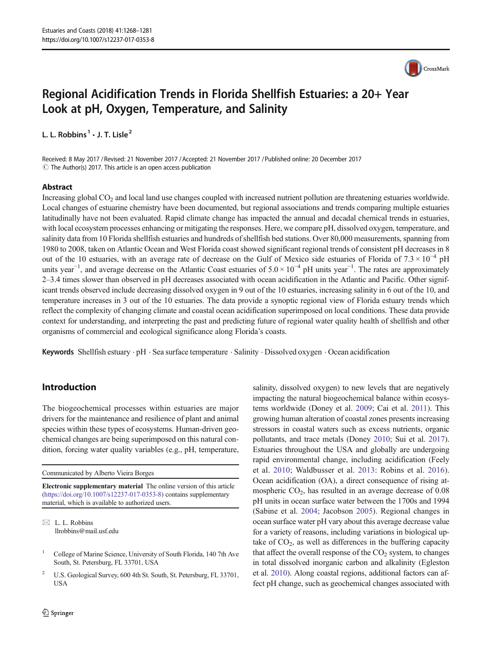

# Regional Acidification Trends in Florida Shellfish Estuaries: a 20+ Year Look at pH, Oxygen, Temperature, and Salinity

L. L. Robbins<sup>1</sup>  $\cdot$  J. T. Lisle<sup>2</sup>

Received: 8 May 2017 / Revised: 21 November 2017 /Accepted: 21 November 2017 /Published online: 20 December 2017  $\odot$  The Author(s) 2017. This article is an open access publication

### Abstract

Increasing global CO<sub>2</sub> and local land use changes coupled with increased nutrient pollution are threatening estuaries worldwide. Local changes of estuarine chemistry have been documented, but regional associations and trends comparing multiple estuaries latitudinally have not been evaluated. Rapid climate change has impacted the annual and decadal chemical trends in estuaries, with local ecosystem processes enhancing or mitigating the responses. Here, we compare pH, dissolved oxygen, temperature, and salinity data from 10 Florida shellfish estuaries and hundreds of shellfish bed stations. Over 80,000 measurements, spanning from 1980 to 2008, taken on Atlantic Ocean and West Florida coast showed significant regional trends of consistent pH decreases in 8 out of the 10 estuaries, with an average rate of decrease on the Gulf of Mexico side estuaries of Florida of  $7.3 \times 10^{-4}$  pH units year<sup>-1</sup>, and average decrease on the Atlantic Coast estuaries of  $5.0 \times 10^{-4}$  pH units year<sup>-1</sup>. The rates are approximately 2–3.4 times slower than observed in pH decreases associated with ocean acidification in the Atlantic and Pacific. Other significant trends observed include decreasing dissolved oxygen in 9 out of the 10 estuaries, increasing salinity in 6 out of the 10, and temperature increases in 3 out of the 10 estuaries. The data provide a synoptic regional view of Florida estuary trends which reflect the complexity of changing climate and coastal ocean acidification superimposed on local conditions. These data provide context for understanding, and interpreting the past and predicting future of regional water quality health of shellfish and other organisms of commercial and ecological significance along Florida's coasts.

Keywords Shellfish estuary  $\cdot$  pH  $\cdot$  Sea surface temperature  $\cdot$  Salinity  $\cdot$  Dissolved oxygen  $\cdot$  Ocean acidification

# Introduction

The biogeochemical processes within estuaries are major drivers for the maintenance and resilience of plant and animal species within these types of ecosystems. Human-driven geochemical changes are being superimposed on this natural condition, forcing water quality variables (e.g., pH, temperature,

Communicated by Alberto Vieira Borges

Electronic supplementary material The online version of this article (<https://doi.org/10.1007/s12237-017-0353-8>) contains supplementary material, which is available to authorized users.

 $\boxtimes$  L. L. Robbins [llrobbins@mail.usf.edu](mailto:llrobbins@mail.usf.edu)

<sup>2</sup> U.S. Geological Survey, 600 4th St. South, St. Petersburg, FL 33701, USA

salinity, dissolved oxygen) to new levels that are negatively impacting the natural biogeochemical balance within ecosystems worldwide (Doney et al. [2009;](#page-12-0) Cai et al. [2011](#page-11-0)). This growing human alteration of coastal zones presents increasing stressors in coastal waters such as excess nutrients, organic pollutants, and trace metals (Doney [2010](#page-12-0); Sui et al. [2017\)](#page-13-0). Estuaries throughout the USA and globally are undergoing rapid environmental change, including acidification (Feely et al. [2010](#page-12-0); Waldbusser et al. [2013:](#page-13-0) Robins et al. [2016](#page-13-0)). Ocean acidification (OA), a direct consequence of rising atmospheric  $CO<sub>2</sub>$ , has resulted in an average decrease of 0.08 pH units in ocean surface water between the 1700s and 1994 (Sabine et al. [2004;](#page-13-0) Jacobson [2005](#page-12-0)). Regional changes in ocean surface water pH vary about this average decrease value for a variety of reasons, including variations in biological uptake of  $CO<sub>2</sub>$ , as well as differences in the buffering capacity that affect the overall response of the  $CO<sub>2</sub>$  system, to changes in total dissolved inorganic carbon and alkalinity (Egleston et al. [2010\)](#page-12-0). Along coastal regions, additional factors can affect pH change, such as geochemical changes associated with

<sup>1</sup> College of Marine Science, University of South Florida, 140 7th Ave South, St. Petersburg, FL 33701, USA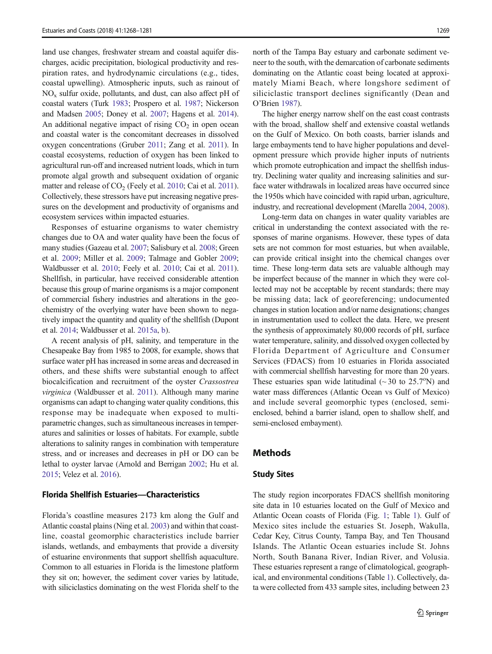land use changes, freshwater stream and coastal aquifer discharges, acidic precipitation, biological productivity and respiration rates, and hydrodynamic circulations (e.g., tides, coastal upwelling). Atmospheric inputs, such as rainout of  $NO<sub>x</sub>$  sulfur oxide, pollutants, and dust, can also affect pH of coastal waters (Turk [1983](#page-13-0); Prospero et al. [1987;](#page-13-0) Nickerson and Madsen [2005;](#page-13-0) Doney et al. [2007;](#page-12-0) Hagens et al. [2014\)](#page-12-0). An additional negative impact of rising  $CO<sub>2</sub>$  in open ocean and coastal water is the concomitant decreases in dissolved oxygen concentrations (Gruber [2011](#page-12-0); Zang et al. [2011\)](#page-14-0). In coastal ecosystems, reduction of oxygen has been linked to agricultural run-off and increased nutrient loads, which in turn promote algal growth and subsequent oxidation of organic matter and release of  $CO<sub>2</sub>$  (Feely et al. [2010;](#page-12-0) Cai et al. [2011\)](#page-11-0). Collectively, these stressors have put increasing negative pressures on the development and productivity of organisms and ecosystem services within impacted estuaries.

Responses of estuarine organisms to water chemistry changes due to OA and water quality have been the focus of many studies (Gazeau et al. [2007;](#page-12-0) Salisbury et al. [2008;](#page-13-0) Green et al. [2009;](#page-12-0) Miller et al. [2009](#page-13-0); Talmage and Gobler [2009](#page-13-0); Waldbusser et al. [2010;](#page-13-0) Feely et al. [2010](#page-12-0); Cai et al. [2011\)](#page-11-0). Shellfish, in particular, have received considerable attention because this group of marine organisms is a major component of commercial fishery industries and alterations in the geochemistry of the overlying water have been shown to negatively impact the quantity and quality of the shellfish (Dupont et al. [2014](#page-12-0); Waldbusser et al. [2015a](#page-13-0), [b](#page-13-0)).

A recent analysis of pH, salinity, and temperature in the Chesapeake Bay from 1985 to 2008, for example, shows that surface water pH has increased in some areas and decreased in others, and these shifts were substantial enough to affect biocalcification and recruitment of the oyster Crassostrea virginica (Waldbusser et al. [2011\)](#page-13-0). Although many marine organisms can adapt to changing water quality conditions, this response may be inadequate when exposed to multiparametric changes, such as simultaneous increases in temperatures and salinities or losses of habitats. For example, subtle alterations to salinity ranges in combination with temperature stress, and or increases and decreases in pH or DO can be lethal to oyster larvae (Arnold and Berrigan [2002](#page-11-0); Hu et al. [2015;](#page-12-0) Velez et al. [2016](#page-13-0)).

#### Florida Shellfish Estuaries—Characteristics

Florida's coastline measures 2173 km along the Gulf and Atlantic coastal plains (Ning et al. [2003\)](#page-13-0) and within that coastline, coastal geomorphic characteristics include barrier islands, wetlands, and embayments that provide a diversity of estuarine environments that support shellfish aquaculture. Common to all estuaries in Florida is the limestone platform they sit on; however, the sediment cover varies by latitude, with siliciclastics dominating on the west Florida shelf to the north of the Tampa Bay estuary and carbonate sediment veneer to the south, with the demarcation of carbonate sediments dominating on the Atlantic coast being located at approximately Miami Beach, where longshore sediment of siliciclastic transport declines significantly (Dean and O'Brien [1987](#page-12-0)).

The higher energy narrow shelf on the east coast contrasts with the broad, shallow shelf and extensive coastal wetlands on the Gulf of Mexico. On both coasts, barrier islands and large embayments tend to have higher populations and development pressure which provide higher inputs of nutrients which promote eutrophication and impact the shellfish industry. Declining water quality and increasing salinities and surface water withdrawals in localized areas have occurred since the 1950s which have coincided with rapid urban, agriculture, industry, and recreational development (Marella [2004](#page-12-0), [2008\)](#page-12-0).

Long-term data on changes in water quality variables are critical in understanding the context associated with the responses of marine organisms. However, these types of data sets are not common for most estuaries, but when available, can provide critical insight into the chemical changes over time. These long-term data sets are valuable although may be imperfect because of the manner in which they were collected may not be acceptable by recent standards; there may be missing data; lack of georeferencing; undocumented changes in station location and/or name designations; changes in instrumentation used to collect the data. Here, we present the synthesis of approximately 80,000 records of pH, surface water temperature, salinity, and dissolved oxygen collected by Florida Department of Agriculture and Consumer Services (FDACS) from 10 estuaries in Florida associated with commercial shellfish harvesting for more than 20 years. These estuaries span wide latitudinal  $({\sim}30$  to  $25.7^{\circ}N)$  and water mass differences (Atlantic Ocean vs Gulf of Mexico) and include several geomorphic types (enclosed, semienclosed, behind a barrier island, open to shallow shelf, and semi-enclosed embayment).

# Methods

#### Study Sites

The study region incorporates FDACS shellfish monitoring site data in 10 estuaries located on the Gulf of Mexico and Atlantic Ocean coasts of Florida (Fig. [1;](#page-3-0) Table [1](#page-4-0)). Gulf of Mexico sites include the estuaries St. Joseph, Wakulla, Cedar Key, Citrus County, Tampa Bay, and Ten Thousand Islands. The Atlantic Ocean estuaries include St. Johns North, South Banana River, Indian River, and Volusia. These estuaries represent a range of climatological, geographical, and environmental conditions (Table [1](#page-4-0)). Collectively, data were collected from 433 sample sites, including between 23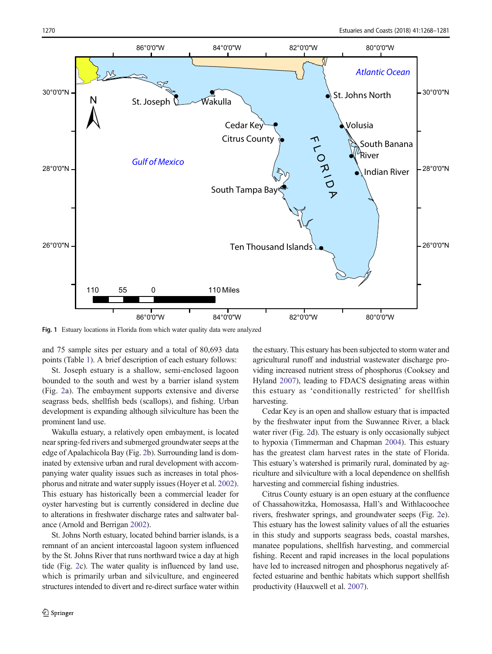<span id="page-3-0"></span>

Fig. 1 Estuary locations in Florida from which water quality data were analyzed

and 75 sample sites per estuary and a total of 80,693 data points (Table [1](#page-4-0)). A brief description of each estuary follows:

St. Joseph estuary is a shallow, semi-enclosed lagoon bounded to the south and west by a barrier island system (Fig. [2](#page-5-0)a). The embayment supports extensive and diverse seagrass beds, shellfish beds (scallops), and fishing. Urban development is expanding although silviculture has been the prominent land use.

Wakulla estuary, a relatively open embayment, is located near spring-fed rivers and submerged groundwater seeps at the edge of Apalachicola Bay (Fig. [2](#page-5-0)b). Surrounding land is dominated by extensive urban and rural development with accompanying water quality issues such as increases in total phosphorus and nitrate and water supply issues (Hoyer et al. [2002\)](#page-12-0). This estuary has historically been a commercial leader for oyster harvesting but is currently considered in decline due to alterations in freshwater discharge rates and saltwater balance (Arnold and Berrigan [2002](#page-11-0)).

St. Johns North estuary, located behind barrier islands, is a remnant of an ancient intercoastal lagoon system influenced by the St. Johns River that runs northward twice a day at high tide (Fig. [2](#page-5-0)c). The water quality is influenced by land use, which is primarily urban and silviculture, and engineered structures intended to divert and re-direct surface water within the estuary. This estuary has been subjected to storm water and agricultural runoff and industrial wastewater discharge providing increased nutrient stress of phosphorus (Cooksey and Hyland [2007](#page-11-0)), leading to FDACS designating areas within this estuary as 'conditionally restricted' for shellfish harvesting.

Cedar Key is an open and shallow estuary that is impacted by the freshwater input from the Suwannee River, a black water river (Fig. [2](#page-5-0)d). The estuary is only occasionally subject to hypoxia (Timmerman and Chapman [2004\)](#page-13-0). This estuary has the greatest clam harvest rates in the state of Florida. This estuary's watershed is primarily rural, dominated by agriculture and silviculture with a local dependence on shellfish harvesting and commercial fishing industries.

Citrus County estuary is an open estuary at the confluence of Chassahowitzka, Homosassa, Hall's and Withlacoochee rivers, freshwater springs, and groundwater seeps (Fig. [2](#page-5-0)e). This estuary has the lowest salinity values of all the estuaries in this study and supports seagrass beds, coastal marshes, manatee populations, shellfish harvesting, and commercial fishing. Recent and rapid increases in the local populations have led to increased nitrogen and phosphorus negatively affected estuarine and benthic habitats which support shellfish productivity (Hauxwell et al. [2007\)](#page-12-0).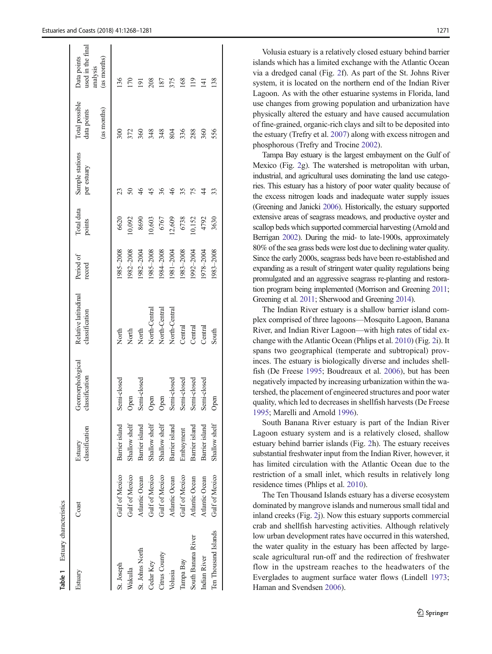<span id="page-4-0"></span>

| Table 1 Estuary characteristics |                       |                           |                                    |                                        |                     |                      |                                |                                              |                                                             |
|---------------------------------|-----------------------|---------------------------|------------------------------------|----------------------------------------|---------------------|----------------------|--------------------------------|----------------------------------------------|-------------------------------------------------------------|
| Estuary                         | Coast                 | classification<br>Estuary | Geomorphological<br>classification | Relative latitudinal<br>classification | Period of<br>record | Total data<br>points | Sample stations<br>per estuary | Total possible<br>(as months)<br>data points | used in the final<br>Data points<br>(as months)<br>analysis |
| St. Joseph                      | <b>Gulf of Mexico</b> | Barrier island            | Semi-closed                        | North                                  | 1985-2008           | 6620                 |                                |                                              | 136                                                         |
| Wakulla                         | Gulf of Mexico        | Shallow shelf             | Open                               | North                                  | 1982-2008           | 10,092               |                                | 372                                          | <b>PSI</b>                                                  |
| St. Johns North                 | Atlantic Ocean        | Barrier island            | Semi-closed                        | North                                  | 1982–2004           | 8690                 |                                | 360                                          | ä                                                           |
| Cedar Key                       | <b>Gulf of Mexico</b> | Shallow shelf             | Open                               | North-Central                          | 1985-2008           | 10,603               |                                | 348                                          | 208                                                         |
| Citrus County                   | <b>Gulf of Mexico</b> | Shallow shelf             | Open                               | North-Central                          | 984-2008            | 6767                 |                                | 348                                          | 187                                                         |
| Volusia                         | Atlantic Ocean        | Barrier island            | Semi-closed                        | North-Central                          | 1981-2004           | 12,609               |                                | 804                                          | 375                                                         |
| Tampa Bay                       | <b>Gulf of Mexico</b> | Embayment                 | Semi-closed                        | Central                                | 1983-2008           | 6738                 |                                | 336                                          | 168                                                         |
| South Banana River              | Atlantic Ocean        | Barrier island            | Semi-closed                        | Central                                | 1992-2004           | 10,152               | 75                             | 288                                          | 119                                                         |
| Indian River                    | Atlantic Ocean        | Barrier island            | Semi-closed                        | Central                                | 1978–2004           | 4792                 | 44                             | 360                                          | 141                                                         |
| Ten Thousand Islands            | <b>Gulf of Mexico</b> | Shallow shelf             | Open                               | South                                  | 1983-2008           | 3630                 |                                | 556                                          | 138                                                         |
|                                 |                       |                           |                                    |                                        |                     |                      |                                |                                              |                                                             |

Volusia estuary is a relatively closed estuary behind barrier islands which has a limited exchange with the Atlantic Ocean via a dredged canal (Fig. [2](#page-5-0)f). As part of the St. Johns River system, it is located on the northern end of the Indian River Lagoon. As with the other estuarine systems in Florida, land use changes from growing population and urbanization have physically altered the estuary and have caused accumulation of fine-grained, organic-rich clays and silt to be deposited into the estuary (Trefry et al. [2007\)](#page-13-0) along with excess nitrogen and phosphorous (Trefry and Trocine [2002](#page-13-0)).

Tampa Bay estuary is the largest embayment on the Gulf of Mexico (Fig. [2g](#page-5-0)). The watershed is metropolitan with urban, industrial, and agricultural uses dominating the land use categories. This estuary has a history of poor water quality because of the excess nitrogen loads and inadequate water supply issues (Greening and Janicki [2006\)](#page-12-0). Historically, the estuary supported extensive areas of seagrass meadows, and productive oyster and scallop beds which supported commercial harvesting (Arnold and Berrigan [2002\)](#page-11-0). During the mid- to late-1900s, approximately 80% of the sea grass beds were lost due to declining water quality. Since the early 2000s, seagrass beds have been re-established and expanding as a result of stringent water quality regulations being promulgated and an aggressive seagrass re-planting and restoration program being implemented (Morrison and Greening [2011;](#page-13-0) Greening et al. [2011](#page-12-0); Sherwood and Greening [2014\)](#page-13-0).

The Indian River estuary is a shallow barrier island complex comprised of three lagoons—Mosquito Lagoon, Banana River, and Indian River Lagoon—with high rates of tidal exchange with the Atlantic Ocean (Phlips et al. [2010\)](#page-13-0) (Fig. [2](#page-5-0)i). It spans two geographical (temperate and subtropical) provinces. The estuary is biologically diverse and includes shellfish (De Freese [1995;](#page-11-0) Boudreaux et al. [2006\)](#page-11-0), but has been negatively impacted by increasing urbanization within the watershed, the placement of engineered structures and poor water quality, which led to decreases in shellfish harvests (De Freese [1995;](#page-11-0) Marelli and Arnold [1996](#page-12-0)).

South Banana River estuary is part of the Indian River Lagoon estuary system and is a relatively closed, shallow estuary behind barrier islands (Fig. [2h](#page-5-0)). The estuary receives substantial freshwater input from the Indian River, however, it has limited circulation with the Atlantic Ocean due to the restriction of a small inlet, which results in relatively long residence times (Phlips et al. [2010\)](#page-13-0).

The Ten Thousand Islands estuary has a diverse ecosystem dominated by mangrove islands and numerous small tidal and inland creeks (Fig. [2](#page-5-0)j). Now this estuary supports commercial crab and shellfish harvesting activities. Although relatively low urban development rates have occurred in this watershed, the water quality in the estuary has been affected by largescale agricultural run-off and the redirection of freshwater flow in the upstream reaches to the headwaters of the Everglades to augment surface water flows (Lindell [1973;](#page-12-0) Haman and Svendsen [2006](#page-12-0)).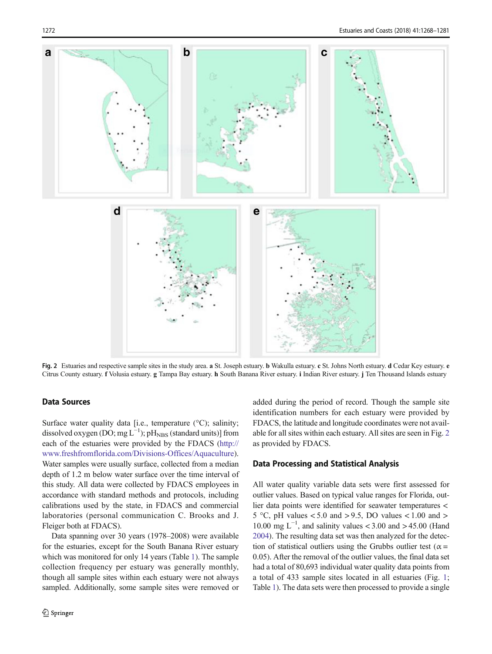<span id="page-5-0"></span>

Fig. 2 Estuaries and respective sample sites in the study area. a St. Joseph estuary. b Wakulla estuary. c St. Johns North estuary. d Cedar Key estuary. e Citrus County estuary. f Volusia estuary. g Tampa Bay estuary. h South Banana River estuary. i Indian River estuary. j Ten Thousand Islands estuary

# Data Sources

Surface water quality data [i.e., temperature (°C); salinity; dissolved oxygen (DO; mg  $L^{-1}$ ); pH<sub>NBS</sub> (standard units)] from each of the estuaries were provided by the FDACS [\(http://](http://www.freshfromflorida.com/Divisions-Offices/Aquaculture) [www.freshfromflorida.com/Divisions-Offices/Aquaculture](http://www.freshfromflorida.com/Divisions-Offices/Aquaculture)). Water samples were usually surface, collected from a median depth of 1.2 m below water surface over the time interval of this study. All data were collected by FDACS employees in accordance with standard methods and protocols, including calibrations used by the state, in FDACS and commercial laboratories (personal communication C. Brooks and J. Fleiger both at FDACS).

Data spanning over 30 years (1978–2008) were available for the estuaries, except for the South Banana River estuary which was monitored for only 14 years (Table [1](#page-4-0)). The sample collection frequency per estuary was generally monthly, though all sample sites within each estuary were not always sampled. Additionally, some sample sites were removed or added during the period of record. Though the sample site identification numbers for each estuary were provided by FDACS, the latitude and longitude coordinates were not available for all sites within each estuary. All sites are seen in Fig. 2 as provided by FDACS.

#### Data Processing and Statistical Analysis

All water quality variable data sets were first assessed for outlier values. Based on typical value ranges for Florida, outlier data points were identified for seawater temperatures < 5 °C, pH values  $< 5.0$  and  $> 9.5$ , DO values  $< 1.00$  and  $>$ 10.00 mg  $L^{-1}$ , and salinity values < 3.00 and > 45.00 (Hand [2004\)](#page-12-0). The resulting data set was then analyzed for the detection of statistical outliers using the Grubbs outlier test ( $\alpha$  = 0.05). After the removal of the outlier values, the final data set had a total of 80,693 individual water quality data points from a total of 433 sample sites located in all estuaries (Fig. [1;](#page-3-0) Table [1](#page-4-0)). The data sets were then processed to provide a single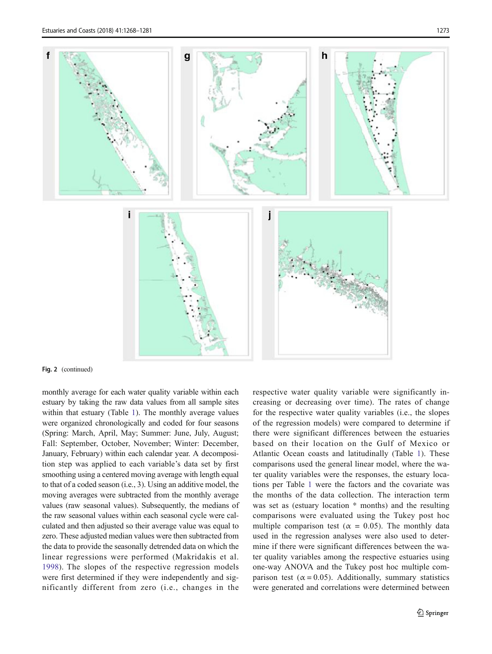

#### Fig. 2 (continued)

monthly average for each water quality variable within each estuary by taking the raw data values from all sample sites within that estuary (Table [1](#page-4-0)). The monthly average values were organized chronologically and coded for four seasons (Spring: March, April, May; Summer: June, July, August; Fall: September, October, November; Winter: December, January, February) within each calendar year. A decomposition step was applied to each variable's data set by first smoothing using a centered moving average with length equal to that of a coded season (i.e., 3). Using an additive model, the moving averages were subtracted from the monthly average values (raw seasonal values). Subsequently, the medians of the raw seasonal values within each seasonal cycle were calculated and then adjusted so their average value was equal to zero. These adjusted median values were then subtracted from the data to provide the seasonally detrended data on which the linear regressions were performed (Makridakis et al. [1998](#page-12-0)). The slopes of the respective regression models were first determined if they were independently and significantly different from zero (i.e., changes in the respective water quality variable were significantly increasing or decreasing over time). The rates of change for the respective water quality variables (i.e., the slopes of the regression models) were compared to determine if there were significant differences between the estuaries based on their location on the Gulf of Mexico or Atlantic Ocean coasts and latitudinally (Table [1\)](#page-4-0). These comparisons used the general linear model, where the water quality variables were the responses, the estuary locations per Table [1](#page-4-0) were the factors and the covariate was the months of the data collection. The interaction term was set as (estuary location \* months) and the resulting comparisons were evaluated using the Tukey post hoc multiple comparison test ( $\alpha = 0.05$ ). The monthly data used in the regression analyses were also used to determine if there were significant differences between the water quality variables among the respective estuaries using one-way ANOVA and the Tukey post hoc multiple comparison test ( $\alpha$  = 0.05). Additionally, summary statistics were generated and correlations were determined between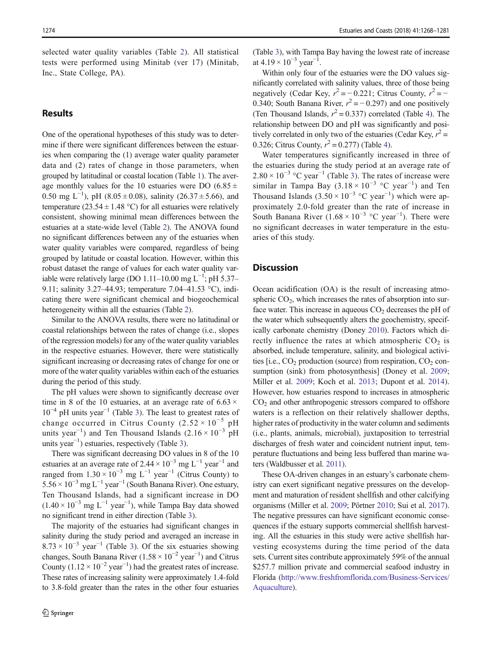selected water quality variables (Table [2](#page-8-0)). All statistical tests were performed using Minitab (ver 17) (Minitab, Inc., State College, PA).

# Results

One of the operational hypotheses of this study was to determine if there were significant differences between the estuaries when comparing the (1) average water quality parameter data and (2) rates of change in those parameters, when grouped by latitudinal or coastal location (Table [1\)](#page-4-0). The average monthly values for the 10 estuaries were DO  $(6.85 \pm$ 0.50 mg L<sup>-1</sup>), pH (8.05 ± 0.08), salinity (26.37 ± 5.66), and temperature (23.54  $\pm$  1.48 °C) for all estuaries were relatively consistent, showing minimal mean differences between the estuaries at a state-wide level (Table [2](#page-8-0)). The ANOVA found no significant differences between any of the estuaries when water quality variables were compared, regardless of being grouped by latitude or coastal location. However, within this robust dataset the range of values for each water quality variable were relatively large (DO 1.11–10.00 mg  $L^{-1}$ ; pH 5.37– 9.11; salinity 3.27–44.93; temperature 7.04–41.53 °C), indicating there were significant chemical and biogeochemical heterogeneity within all the estuaries (Table [2](#page-8-0)).

Similar to the ANOVA results, there were no latitudinal or coastal relationships between the rates of change (i.e., slopes of the regression models) for any of the water quality variables in the respective estuaries. However, there were statistically significant increasing or decreasing rates of change for one or more of the water quality variables within each of the estuaries during the period of this study.

The pH values were shown to significantly decrease over time in 8 of the 10 estuaries, at an average rate of  $6.63 \times$  $10^{-4}$  pH units year<sup>-1</sup> (Table [3\)](#page-9-0). The least to greatest rates of change occurred in Citrus County  $(2.52 \times 10^{-5} \text{ pH})$ units year<sup>-1</sup>) and Ten Thousand Islands  $(2.16 \times 10^{-3} \text{ pH})$ units year $^{-1}$ ) estuaries, respectively (Table [3](#page-9-0)).

There was significant decreasing DO values in 8 of the 10 estuaries at an average rate of 2.44 ×  $10^{-3}$  mg L<sup>-1</sup> year<sup>-1</sup> and ranged from  $1.30 \times 10^{-3}$  mg L<sup>-1</sup> year<sup>-1</sup> (Citrus County) to  $5.56 \times 10^{-3}$  mg L<sup>-1</sup> year<sup>-1</sup> (South Banana River). One estuary, Ten Thousand Islands, had a significant increase in DO  $(1.40 \times 10^{-3} \text{ mg } L^{-1} \text{ year}^{-1})$ , while Tampa Bay data showed no significant trend in either direction (Table [3\)](#page-9-0).

The majority of the estuaries had significant changes in salinity during the study period and averaged an increase in  $8.73 \times 10^{-3}$  $8.73 \times 10^{-3}$  $8.73 \times 10^{-3}$  year<sup>-1</sup> (Table 3). Of the six estuaries showing changes, South Banana River  $(1.58 \times 10^{-2} \text{ year}^{-1})$  and Citrus County  $(1.12 \times 10^{-2} \text{ year}^{-1})$  had the greatest rates of increase. These rates of increasing salinity were approximately 1.4-fold to 3.8-fold greater than the rates in the other four estuaries (Table [3](#page-9-0)), with Tampa Bay having the lowest rate of increase at  $4.19 \times 10^{-3}$  year<sup>-1</sup>.

Within only four of the estuaries were the DO values significantly correlated with salinity values, three of those being negatively (Cedar Key,  $r^2 = -0.221$ ; Citrus County,  $r^2 = -$ 0.340; South Banana River,  $r^2 = -0.297$ ) and one positively (Ten Thousand Islands,  $r^2 = 0.337$ ) correlated (Table [4](#page-9-0)). The relationship between DO and pH was significantly and positively correlated in only two of the estuaries (Cedar Key,  $r^2$  = 0.326; Citrus County,  $r^2 = 0.277$ ) (Table [4](#page-9-0)).

Water temperatures significantly increased in three of the estuaries during the study period at an average rate of  $2.80 \times 10^{-3}$  °C year<sup>-1</sup> (Table [3\)](#page-9-0). The rates of increase were similar in Tampa Bay  $(3.18 \times 10^{-3} \text{ °C year}^{-1})$  and Ten Thousand Islands  $(3.50 \times 10^{-3} \text{ °C year}^{-1})$  which were approximately 2.0-fold greater than the rate of increase in South Banana River  $(1.68 \times 10^{-3} \text{ °C year}^{-1})$ . There were no significant decreases in water temperature in the estuaries of this study.

## **Discussion**

Ocean acidification (OA) is the result of increasing atmospheric  $CO<sub>2</sub>$ , which increases the rates of absorption into surface water. This increase in aqueous  $CO<sub>2</sub>$  decreases the pH of the water which subsequently alters the geochemistry, specifically carbonate chemistry (Doney [2010\)](#page-12-0). Factors which directly influence the rates at which atmospheric  $CO<sub>2</sub>$  is absorbed, include temperature, salinity, and biological activities  $[i.e., CO<sub>2</sub>$  production (source) from respiration,  $CO<sub>2</sub>$  con-sumption (sink) from photosynthesis] (Doney et al. [2009;](#page-12-0) Miller et al. [2009;](#page-13-0) Koch et al. [2013](#page-12-0); Dupont et al. [2014\)](#page-12-0). However, how estuaries respond to increases in atmospheric  $CO<sub>2</sub>$  and other anthropogenic stressors compared to offshore waters is a reflection on their relatively shallower depths, higher rates of productivity in the water column and sediments (i.e., plants, animals, microbial), juxtaposition to terrestrial discharges of fresh water and coincident nutrient input, temperature fluctuations and being less buffered than marine waters (Waldbusser et al. [2011](#page-13-0)).

These OA-driven changes in an estuary's carbonate chemistry can exert significant negative pressures on the development and maturation of resident shellfish and other calcifying organisms (Miller et al. [2009;](#page-13-0) Pörtner [2010](#page-13-0); Sui et al. [2017\)](#page-13-0). The negative pressures can have significant economic consequences if the estuary supports commercial shellfish harvesting. All the estuaries in this study were active shellfish harvesting ecosystems during the time period of the data sets. Current sites contribute approximately 59% of the annual \$257.7 million private and commercial seafood industry in Florida [\(http://www.freshfromflorida.com/Business-Services/](http://www.freshfromflorida.com/Business-Services/Aquaculture) [Aquaculture\)](http://www.freshfromflorida.com/Business-Services/Aquaculture).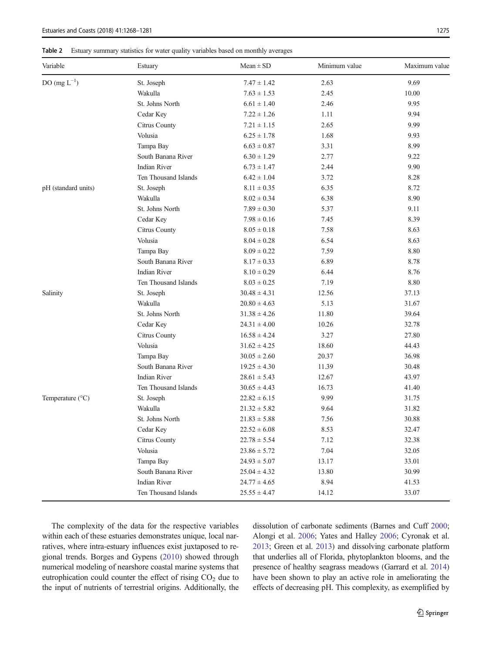<span id="page-8-0"></span>

| Variable            | Estuary              | $Mean \pm SD$    | Minimum value | Maximum value |
|---------------------|----------------------|------------------|---------------|---------------|
| $DO(mg L^{-1})$     | St. Joseph           | $7.47 \pm 1.42$  | 2.63          | 9.69          |
|                     | Wakulla              | $7.63 \pm 1.53$  | 2.45          | 10.00         |
|                     | St. Johns North      | $6.61 \pm 1.40$  | 2.46          | 9.95          |
|                     | Cedar Key            | $7.22 \pm 1.26$  | 1.11          | 9.94          |
|                     | Citrus County        | $7.21 \pm 1.15$  | 2.65          | 9.99          |
|                     | Volusia              | $6.25 \pm 1.78$  | 1.68          | 9.93          |
|                     | Tampa Bay            | $6.63 \pm 0.87$  | 3.31          | 8.99          |
|                     | South Banana River   | $6.30 \pm 1.29$  | 2.77          | 9.22          |
|                     | <b>Indian River</b>  | $6.73 \pm 1.47$  | 2.44          | 9.90          |
|                     | Ten Thousand Islands | $6.42 \pm 1.04$  | 3.72          | 8.28          |
| pH (standard units) | St. Joseph           | $8.11 \pm 0.35$  | 6.35          | 8.72          |
|                     | Wakulla              | $8.02 \pm 0.34$  | 6.38          | 8.90          |
|                     | St. Johns North      | $7.89 \pm 0.30$  | 5.37          | 9.11          |
|                     | Cedar Key            | $7.98 \pm 0.16$  | 7.45          | 8.39          |
|                     | Citrus County        | $8.05 \pm 0.18$  | 7.58          | 8.63          |
|                     | Volusia              | $8.04 \pm 0.28$  | 6.54          | 8.63          |
|                     | Tampa Bay            | $8.09 \pm 0.22$  | 7.59          | 8.80          |
|                     | South Banana River   | $8.17 \pm 0.33$  | 6.89          | 8.78          |
|                     | <b>Indian River</b>  | $8.10 \pm 0.29$  | 6.44          | 8.76          |
|                     | Ten Thousand Islands | $8.03 \pm 0.25$  | 7.19          | 8.80          |
| Salinity            | St. Joseph           | $30.48 \pm 4.31$ | 12.56         | 37.13         |
|                     | Wakulla              | $20.80 \pm 4.63$ | 5.13          | 31.67         |
|                     | St. Johns North      | $31.38 \pm 4.26$ | 11.80         | 39.64         |
|                     | Cedar Key            | $24.31 \pm 4.00$ | 10.26         | 32.78         |
|                     | Citrus County        | $16.58 \pm 4.24$ | 3.27          | 27.80         |
|                     | Volusia              | $31.62 \pm 4.25$ | 18.60         | 44.43         |
|                     | Tampa Bay            | $30.05 \pm 2.60$ | 20.37         | 36.98         |
|                     | South Banana River   | $19.25 \pm 4.30$ | 11.39         | 30.48         |
|                     | <b>Indian River</b>  | $28.61 \pm 5.43$ | 12.67         | 43.97         |
|                     | Ten Thousand Islands | $30.65 \pm 4.43$ | 16.73         | 41.40         |
| Temperature (°C)    | St. Joseph           | $22.82 \pm 6.15$ | 9.99          | 31.75         |
|                     | Wakulla              | $21.32 \pm 5.82$ | 9.64          | 31.82         |
|                     | St. Johns North      | $21.83 \pm 5.88$ | 7.56          | 30.88         |
|                     | Cedar Key            | $22.52 \pm 6.08$ | 8.53          | 32.47         |
|                     | Citrus County        | $22.78 \pm 5.54$ | 7.12          | 32.38         |
|                     | Volusia              | $23.86 \pm 5.72$ | 7.04          | 32.05         |
|                     | Tampa Bay            | $24.93 \pm 5.07$ | 13.17         | 33.01         |
|                     | South Banana River   | $25.04 \pm 4.32$ | 13.80         | 30.99         |
|                     | <b>Indian River</b>  | $24.77 \pm 4.65$ | 8.94          | 41.53         |
|                     | Ten Thousand Islands | $25.55 \pm 4.47$ | 14.12         | 33.07         |

The complexity of the data for the respective variables within each of these estuaries demonstrates unique, local narratives, where intra-estuary influences exist juxtaposed to regional trends. Borges and Gypens [\(2010](#page-11-0)) showed through numerical modeling of nearshore coastal marine systems that eutrophication could counter the effect of rising  $CO<sub>2</sub>$  due to the input of nutrients of terrestrial origins. Additionally, the dissolution of carbonate sediments (Barnes and Cuff [2000;](#page-11-0) Alongi et al. [2006;](#page-11-0) Yates and Halley [2006;](#page-14-0) Cyronak et al. [2013;](#page-11-0) Green et al. [2013](#page-12-0)) and dissolving carbonate platform that underlies all of Florida, phytoplankton blooms, and the presence of healthy seagrass meadows (Garrard et al. [2014](#page-12-0)) have been shown to play an active role in ameliorating the effects of decreasing pH. This complexity, as exemplified by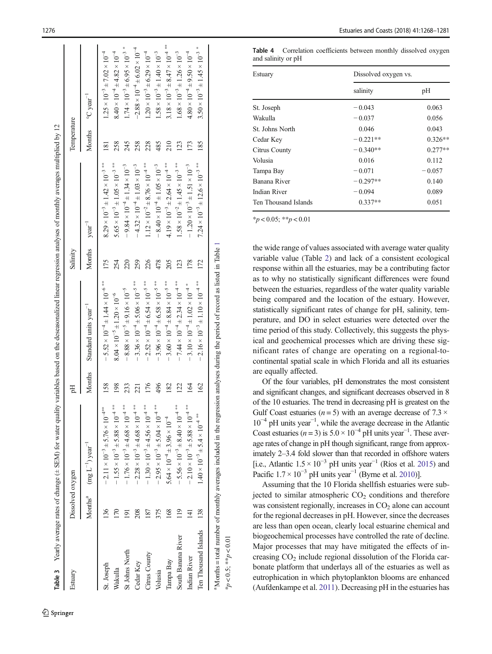<span id="page-9-0"></span>

| Estuary              | Dissolved oxygen |                                                                                                                                           | Ъq              |                                                               | Salinity           |                                                              | Temperature     |                                                   |
|----------------------|------------------|-------------------------------------------------------------------------------------------------------------------------------------------|-----------------|---------------------------------------------------------------|--------------------|--------------------------------------------------------------|-----------------|---------------------------------------------------|
|                      |                  | Months <sup>a</sup> $(mg L^{-1})$ year <sup>-1</sup>                                                                                      | Months          | Standard units year <sup>-1</sup>                             | Months $year^{-1}$ |                                                              |                 | Months $\degree$ C year <sup>-1</sup>             |
| St. Joseph           | 136              | $-2.11 \times 10^{-3} \pm 5.76 \times 10^{-4}$                                                                                            | 158             | $-5.52 \times 10^{-4} \pm 1.44 \times 10^{-6}$ <sup>***</sup> | 175                | $8.29 \times 10^{-3} \pm 1.42 \times 10^{-3}$ <sup>***</sup> | $\overline{81}$ | $1.25 \times 10^{-3} \pm 7.02 \times 10^{-4}$     |
| Wakulla              | $\overline{170}$ | $-1.55 \times 10^{-3} \pm 5.88 \times 10^{-4}$ <sup>**</sup>                                                                              | 198             | $8.04 \times 10^{-5} \pm 1.20 \times 10^{-6}$                 | 254                | $5.65 \times 10^{-3} \pm 1.05 \times 10^{-3}$ ***            | 258             | $8.40 \times 10^{-4} \pm 4.82 \times 10^{-4}$     |
| St Johns North       | 5                | $-1.76 \times 10^{-3} \pm 4.68 \times 10^{-4}$ **                                                                                         | 233             | $-8.88 \times 10^{-5} \pm 9.16 \times 10^{-5}$                | 220                | $-9.84 \times 10^{-4} \pm 1.34 \times 10^{-3}$               | 245             | $1.74 \times 10^{-3} \pm 6.95 \times 10^{-3}$ *   |
| Cedar Key            | 208              | $-2.28 \times 10^{-3} \pm 4.68 \times 10^{-4}$ <sup>**</sup>                                                                              | 221             | $-3.36 \times 10^{-4} \pm 5.06 \times 10^{-5}$ <sup>***</sup> | 259                | $-4.32 \times 10^{-4} \pm 1.03 \times 10^{-3}$               | 258             | $-2.88 \times 10^{-4} \pm 6.02 \times 10^{-4}$    |
| Citrus County        | 187              | $-1.30 \times 10^{-3} \pm 4.56 \times 10^{-4}$ **                                                                                         | 176             | $-2.52 \times 10^{-4} \pm 6.54 \times 10^{-5}$ **             | 226                | $1.12 \times 10^{-2} \pm 8.76 \times 10^{-4}$ <sup>**</sup>  | 228             | $1.20 \times 10^{-3} \pm 6.29 \times 10^{-4}$     |
| Volusia              | 375              | $-2.95 \times 10^{-3} \pm 5.04 \times 10^{-4}$ **                                                                                         | 496             | $-3.96 \times 10^{-4} \pm 6.58 \times 10^{-5}$ ***            | 478                | $-8.40 \times 10^{-4} \pm 1.05 \times 10^{-3}$               | 485             | $1.58 \times 10^{-3} \pm 1.40 \times 10^{-3}$     |
| Tampa Bay            | 168              | $5.64 \times 10^{-4} \pm 3.96 \times 10^{-4}$                                                                                             | 182             | $-3.60 \times 10^{-4} \pm 8.84 \times 10^{-5}$ <sup>***</sup> | 205                | $4.19 \times 10^{-3} \pm 2.64 \times 10^{-4}$ <sup>**</sup>  | 210             | $3.18 \times 10^{-3} \pm 8.47 \times 10^{-4}$ *** |
| South Banana River   | $\frac{19}{2}$   | $-5.56 \times 10^{-3} \pm 8.40 \times 10^{-4}$ <sup>**</sup>                                                                              | $\overline{22}$ | $-7.44 \times 10^{-4} \pm 2.34 \times 10^{-4}$ <sup>**</sup>  | 123                | $1.58 \times 10^{-2} \pm 1.45 \times 10^{-3}$ **             | 123             | $1.68 \times 10^{-3} \pm 1.26 \times 10^{-3}$     |
| Indian River         | $\overline{4}$   | $-2.10 \times 10^{-3} \pm 5.88 \times 10^{-4}$ **                                                                                         | 164             | $-3.10 \times 10^{-4} \pm 1.02 \times 10^{-4}$ *              | 178                | $-1.20 \times 10^{-3} \pm 1.51 \times 10^{-3}$               | 173             | $4.80 \times 10^{-4} \pm 9.50 \times 10^{-4}$     |
| Ten Thousand Islands | 138              | $1.40 \times 10^{-3} \pm 5.4 \times 10^{-4}$                                                                                              | 162             | $-2.16 \times 10^{-3} \pm 1.10 \times 10^{-4}$ <sup>**</sup>  | 172                | $7.24 \times 10^{-3} \pm 12.6 \times 10^{-3}$ **             | 185             | $3.50 \times 10^{-3} \pm 1.45 \times 10^{-3}$ *   |
|                      |                  | <sup>a</sup> Months = total number of monthly averages included in the regression analyses during the period of record as listed in Table |                 |                                                               |                    |                                                              |                 |                                                   |

Table 4 Correlation coefficients between monthly dissolved oxygen and salinity or pH

| Estuary              | Dissolved oxygen vs. |           |
|----------------------|----------------------|-----------|
|                      | salinity             | pH        |
| St. Joseph           | $-0.043$             | 0.063     |
| Wakulla              | $-0.037$             | 0.056     |
| St. Johns North      | 0.046                | 0.043     |
| Cedar Key            | $-0.221**$           | $0.326**$ |
| Citrus County        | $-0.340**$           | $0.277**$ |
| Volusia              | 0.016                | 0.112     |
| Tampa Bay            | $-0.071$             | $-0.057$  |
| Banana River         | $-0.297**$           | 0.140     |
| Indian River         | $-0.094$             | 0.089     |
| Ten Thousand Islands | $0.337**$            | 0.051     |

 $*_{p}$  < 0.05;  $*_{p}$  < 0.01

 $* p < 0.5; * p < 0.01$ 

 $k_p < 0.5$ ;  $* p < 0.01$ 

the wide range of values associated with average water quality variable value (Table [2](#page-8-0)) and lack of a consistent ecological response within all the estuaries, may be a contributing factor as to why no statistically significant differences were found between the estuaries, regardless of the water quality variable being compared and the location of the estuary. However, statistically significant rates of change for pH, salinity, temperature, and DO in select estuaries were detected over the time period of this study. Collectively, this suggests the physical and geochemical processes which are driving these significant rates of change are operating on a regional-tocontinental spatial scale in which Florida and all its estuaries are equally affected.

Of the four variables, pH demonstrates the most consistent and significant changes, and significant decreases observed in 8 of the 10 estuaries. The trend in decreasing pH is greatest on the Gulf Coast estuaries ( $n = 5$ ) with an average decrease of 7.3  $\times$ 10 <sup>−</sup><sup>4</sup> pH units year<sup>−</sup> 1 , while the average decrease in the Atlantic Coast estuaries ( $n = 3$ ) is  $5.0 \times 10^{-4}$  pH units year<sup>-1</sup>. These average rates of change in pH though significant, range from approximately 2–3.4 fold slower than that recorded in offshore waters [i.e., Atlantic  $1.5 \times 10^{-3}$  pH units year<sup>-1</sup> (Ríos et al. [2015](#page-13-0)) and Pacific  $1.7 \times 10^{-3}$  pH units year<sup>-1</sup> (Byrne et al. [2010](#page-11-0))].

Assuming that the 10 Florida shellfish estuaries were subjected to similar atmospheric  $CO<sub>2</sub>$  conditions and therefore was consistent regionally, increases in CO <sup>2</sup> alone can account for the regional decreases in pH. However, since the decreases are less than open ocean, clearly local estuarine chemical and biogeochemical processes have controlled the rate of decline. Major processes that may have mitigated the effects of increasing  $CO<sub>2</sub>$  include regional dissolution of the Florida carbonate platform that underlays all of the estuaries as well as eutrophication in which phytoplankton blooms are enhanced (Aufdenkampe et al. [2011\)](#page-11-0). Decreasing pH in the estuaries has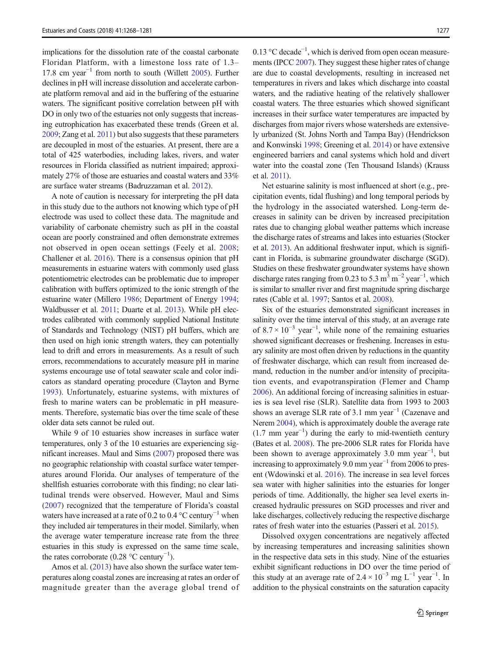implications for the dissolution rate of the coastal carbonate Floridan Platform, with a limestone loss rate of 1.3– 17.8 cm year−<sup>1</sup> from north to south (Willett [2005](#page-14-0)). Further declines in pH will increase dissolution and accelerate carbonate platform removal and aid in the buffering of the estuarine waters. The significant positive correlation between pH with DO in only two of the estuaries not only suggests that increasing eutrophication has exacerbated these trends (Green et al. [2009;](#page-12-0) Zang et al. [2011\)](#page-14-0) but also suggests that these parameters are decoupled in most of the estuaries. At present, there are a total of 425 waterbodies, including lakes, rivers, and water resources in Florida classified as nutrient impaired; approximately 27% of those are estuaries and coastal waters and 33% are surface water streams (Badruzzaman et al. [2012](#page-11-0)).

A note of caution is necessary for interpreting the pH data in this study due to the authors not knowing which type of pH electrode was used to collect these data. The magnitude and variability of carbonate chemistry such as pH in the coastal ocean are poorly constrained and often demonstrate extremes not observed in open ocean settings (Feely et al. [2008](#page-12-0); Challener et al. [2016](#page-11-0)). There is a consensus opinion that pH measurements in estuarine waters with commonly used glass potentiometric electrodes can be problematic due to improper calibration with buffers optimized to the ionic strength of the estuarine water (Millero [1986;](#page-13-0) Department of Energy [1994](#page-12-0); Waldbusser et al. [2011](#page-13-0); Duarte et al. [2013](#page-12-0)). While pH electrodes calibrated with commonly supplied National Institute of Standards and Technology (NIST) pH buffers, which are then used on high ionic strength waters, they can potentially lead to drift and errors in measurements. As a result of such errors, recommendations to accurately measure pH in marine systems encourage use of total seawater scale and color indicators as standard operating procedure (Clayton and Byrne [1993](#page-11-0)). Unfortunately, estuarine systems, with mixtures of fresh to marine waters can be problematic in pH measurements. Therefore, systematic bias over the time scale of these older data sets cannot be ruled out.

While 9 of 10 estuaries show increases in surface water temperatures, only 3 of the 10 estuaries are experiencing significant increases. Maul and Sims [\(2007\)](#page-13-0) proposed there was no geographic relationship with coastal surface water temperatures around Florida. Our analyses of temperature of the shellfish estuaries corroborate with this finding; no clear latitudinal trends were observed. However, Maul and Sims [\(2007](#page-13-0)) recognized that the temperature of Florida's coastal waters have increased at a rate of 0.2 to 0.4  $\mathrm{^{\circ}C}$  century<sup>-1</sup> when they included air temperatures in their model. Similarly, when the average water temperature increase rate from the three estuaries in this study is expressed on the same time scale, the rates corroborate  $(0.28 \text{ °C century}^{-1})$ .

Amos et al. [\(2013\)](#page-11-0) have also shown the surface water temperatures along coastal zones are increasing at rates an order of magnitude greater than the average global trend of

0.13 °C decade<sup>-1</sup>, which is derived from open ocean measurements (IPCC [2007\)](#page-12-0). They suggest these higher rates of change are due to coastal developments, resulting in increased net temperatures in rivers and lakes which discharge into coastal waters, and the radiative heating of the relatively shallower coastal waters. The three estuaries which showed significant increases in their surface water temperatures are impacted by discharges from major rivers whose watersheds are extensively urbanized (St. Johns North and Tampa Bay) (Hendrickson and Konwinski [1998](#page-12-0); Greening et al. [2014](#page-12-0)) or have extensive engineered barriers and canal systems which hold and divert water into the coastal zone (Ten Thousand Islands) (Krauss et al. [2011\)](#page-12-0).

Net estuarine salinity is most influenced at short (e.g., precipitation events, tidal flushing) and long temporal periods by the hydrology in the associated watershed. Long-term decreases in salinity can be driven by increased precipitation rates due to changing global weather patterns which increase the discharge rates of streams and lakes into estuaries (Stocker et al. [2013\)](#page-13-0). An additional freshwater input, which is significant in Florida, is submarine groundwater discharge (SGD). Studies on these freshwater groundwater systems have shown discharge rates ranging from 0.23 to 5.3 m<sup>3</sup> m<sup>-2</sup> year<sup>-1</sup>, which is similar to smaller river and first magnitude spring discharge rates (Cable et al. [1997](#page-11-0); Santos et al. [2008](#page-13-0)).

Six of the estuaries demonstrated significant increases in salinity over the time interval of this study, at an average rate of  $8.7 \times 10^{-3}$  year<sup>-1</sup>, while none of the remaining estuaries showed significant decreases or freshening. Increases in estuary salinity are most often driven by reductions in the quantity of freshwater discharge, which can result from increased demand, reduction in the number and/or intensity of precipitation events, and evapotranspiration (Flemer and Champ [2006\)](#page-12-0). An additional forcing of increasing salinities in estuaries is sea level rise (SLR). Satellite data from 1993 to 2003 shows an average SLR rate of 3.1 mm year<sup>-1</sup> (Cazenave and Nerem [2004](#page-11-0)), which is approximately double the average rate  $(1.7 \text{ mm year}^{-1})$  during the early to mid-twentieth century (Bates et al. [2008](#page-11-0)). The pre-2006 SLR rates for Florida have been shown to average approximately  $3.0$  mm year<sup>-1</sup>, but increasing to approximately 9.0 mm year<sup> $-1$ </sup> from 2006 to present (Wdowinski et al. [2016](#page-14-0)). The increase in sea level forces sea water with higher salinities into the estuaries for longer periods of time. Additionally, the higher sea level exerts increased hydraulic pressures on SGD processes and river and lake discharges, collectively reducing the respective discharge rates of fresh water into the estuaries (Passeri et al. [2015\)](#page-13-0).

Dissolved oxygen concentrations are negatively affected by increasing temperatures and increasing salinities shown in the respective data sets in this study. Nine of the estuaries exhibit significant reductions in DO over the time period of this study at an average rate of  $2.4 \times 10^{-3}$  mg L<sup>-1</sup> year<sup>-1</sup>. In addition to the physical constraints on the saturation capacity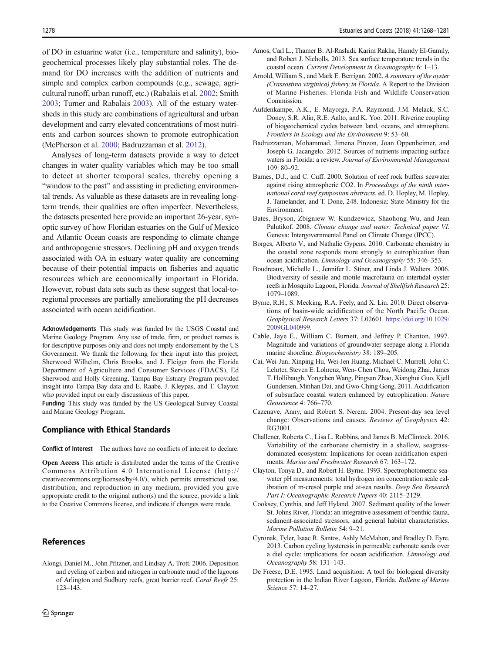<span id="page-11-0"></span>of DO in estuarine water (i.e., temperature and salinity), biogeochemical processes likely play substantial roles. The demand for DO increases with the addition of nutrients and simple and complex carbon compounds (e.g., sewage, agricultural runoff, urban runoff, etc.) (Rabalais et al. [2002](#page-13-0); Smith [2003;](#page-13-0) Turner and Rabalais [2003\)](#page-13-0). All of the estuary watersheds in this study are combinations of agricultural and urban development and carry elevated concentrations of most nutrients and carbon sources shown to promote eutrophication (McPherson et al. [2000](#page-13-0); Badruzzaman et al. 2012).

Analyses of long-term datasets provide a way to detect changes in water quality variables which may be too small to detect at shorter temporal scales, thereby opening a "window to the past" and assisting in predicting environmental trends. As valuable as these datasets are in revealing longterm trends, their qualities are often imperfect. Nevertheless, the datasets presented here provide an important 26-year, synoptic survey of how Floridan estuaries on the Gulf of Mexico and Atlantic Ocean coasts are responding to climate change and anthropogenic stressors. Declining pH and oxygen trends associated with OA in estuary water quality are concerning because of their potential impacts on fisheries and aquatic resources which are economically important in Florida. However, robust data sets such as these suggest that local-toregional processes are partially ameliorating the pH decreases associated with ocean acidification.

Acknowledgements This study was funded by the USGS Coastal and Marine Geology Program. Any use of trade, firm, or product names is for descriptive purposes only and does not imply endorsement by the US Government. We thank the following for their input into this project, Sherwood Wilhelm, Chris Brooks, and J. Fleiger from the Florida Department of Agriculture and Consumer Services (FDACS), Ed Sherwood and Holly Greening, Tampa Bay Estuary Program provided insight into Tampa Bay data and E. Raabe, J. Kleypas, and T. Clayton who provided input on early discussions of this paper.

Funding This study was funded by the US Geological Survey Coastal and Marine Geology Program.

#### Compliance with Ethical Standards

Conflict of Interest The authors have no conflicts of interest to declare.

Open Access This article is distributed under the terms of the Creative Commons Attribution 4.0 International License (http:// creativecommons.org/licenses/by/4.0/), which permits unrestricted use, distribution, and reproduction in any medium, provided you give appropriate credit to the original author(s) and the source, provide a link to the Creative Commons license, and indicate if changes were made.

#### References

Alongi, Daniel M., John Pfitzner, and Lindsay A. Trott. 2006. Deposition and cycling of carbon and nitrogen in carbonate mud of the lagoons of Arlington and Sudbury reefs, great barrier reef. Coral Reefs 25: 123–143.

- Amos, Carl L., Thamer B. Al-Rashidi, Karim Rakha, Hamdy El-Gamily, and Robert J. Nicholls. 2013. Sea surface temperature trends in the coastal ocean. Current Development in Oceanography 6: 1–13.
- Arnold, William S., and Mark E. Berrigan. 2002. A summary of the oyster (Crassostrea virginica) fishery in Florida. A Report to the Division of Marine Fisheries. Florida Fish and Wildlife Conservation Commission.
- Aufdenkampe, A.K., E. Mayorga, P.A. Raymond, J.M. Melack, S.C. Doney, S.R. Alin, R.E. Aalto, and K. Yoo. 2011. Riverine coupling of biogeochemical cycles between land, oceans, and atmosphere. Frontiers in Ecology and the Environment 9: 53–60.
- Badruzzaman, Mohammad, Jimena Pinzon, Joan Oppenheimer, and Joseph G. Jacangelo. 2012. Sources of nutrients impacting surface waters in Florida: a review. Journal of Environmental Management 109: 80–92.
- Barnes, D.J., and C. Cuff. 2000. Solution of reef rock buffers seawater against rising atmospheric CO2. In Proceedings of the ninth international coral reef symposium abstracts, ed. D. Hopley, M. Hopley, J. Tamelander, and T. Done, 248. Indonesia: State Ministry for the Environment.
- Bates, Bryson, Zbigniew W. Kundzewicz, Shaohong Wu, and Jean Palutikof. 2008. Climate change and water: Technical paper VI. Geneva: Intergovernmental Panel on Climate Change (IPCC).
- Borges, Alberto V., and Nathalie Gypens. 2010. Carbonate chemistry in the coastal zone responds more strongly to eutrophication than ocean acidification. Limnology and Oceanography 55: 346–353.
- Boudreaux, Michelle L., Jennifer L. Stiner, and Linda J. Walters. 2006. Biodiversity of sessile and motile macrofauna on intertidal oyster reefs in Mosquito Lagoon, Florida. Journal of Shellfish Research 25: 1079–1089.
- Byrne, R.H., S. Mecking, R.A. Feely, and X. Liu. 2010. Direct observations of basin-wide acidification of the North Pacific Ocean. Geophysical Research Letters 37: L02601. [https://doi.org/10.1029/](https://doi.org/10.1029/2009GL040999) [2009GL040999](https://doi.org/10.1029/2009GL040999).
- Cable, Jaye E., William C. Burnett, and Jeffrey P. Chanton. 1997. Magnitude and variations of groundwater seepage along a Florida marine shoreline. Biogeochemistry 38: 189–205.
- Cai, Wei-Jun, Xinping Hu, Wei-Jen Huang, Michael C. Murrell, John C. Lehrter, Steven E. Lohrenz, Wen- Chen Chou, Weidong Zhai, James T. Hollibaugh, Yongchen Wang, Pingsan Zhao, Xianghui Guo, Kjell Gundersen, Minhan Dai, and Gwo-Ching Gong. 2011. Acidification of subsurface coastal waters enhanced by eutrophication. Nature Geoscience 4: 766–770.
- Cazenave, Anny, and Robert S. Nerem. 2004. Present-day sea level change: Observations and causes. Reviews of Geophysics 42: RG3001.
- Challener, Roberta C., Lisa L. Robbins, and James B. McClintock. 2016. Variability of the carbonate chemistry in a shallow, seagrassdominated ecosystem: Implications for ocean acidification experiments. Marine and Freshwater Research 67: 163–172.
- Clayton, Tonya D., and Robert H. Byrne. 1993. Spectrophotometric seawater pH measurements: total hydrogen ion concentration scale calibration of m-cresol purple and at-sea results. Deep Sea Research Part I: Oceanographic Research Papers 40: 2115–2129.
- Cooksey, Cynthia, and Jeff Hyland. 2007. Sediment quality of the lower St. Johns River, Florida: an integrative assessment of benthic fauna, sediment-associated stressors, and general habitat characteristics. Marine Pollution Bulletin 54: 9–21.
- Cyronak, Tyler, Isaac R. Santos, Ashly McMahon, and Bradley D. Eyre. 2013. Carbon cycling hysteresis in permeable carbonate sands over a diel cycle: implications for ocean acidification. Limnology and Oceanography 58: 131–143.
- De Freese, D.E. 1995. Land acquisition: A tool for biological diversity protection in the Indian River Lagoon, Florida. Bulletin of Marine Science 57: 14–27.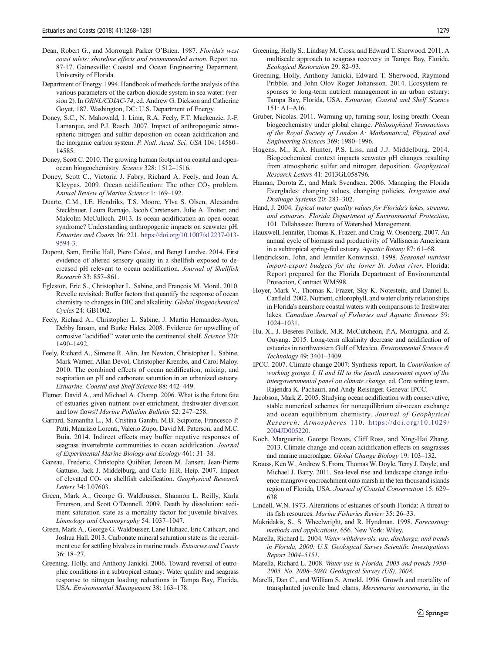- <span id="page-12-0"></span>Dean, Robert G., and Morrough Parker O'Brien. 1987. Florida's west coast inlets: shoreline effects and recommended action. Report no. 87-17. Gainesville: Coastal and Ocean Engineering Deparment, University of Florida.
- Department of Energy. 1994. Handbook of methods for the analysis of the various parameters of the carbon dioxide system in sea water: (version 2). In ORNL/CDIAC-74, ed. Andrew G. Dickson and Catherine Goyet, 187. Washington, DC: U.S. Department of Energy.
- Doney, S.C., N. Mahowald, I. Lima, R.A. Feely, F.T. Mackenzie, J.-F. Lamarque, and P.J. Rasch. 2007. Impact of anthropogenic atmospheric nitrogen and sulfur deposition on ocean acidification and the inorganic carbon system. P. Natl. Acad. Sci. USA 104: 14580-14585.
- Doney, Scott C. 2010. The growing human footprint on coastal and openocean biogeochemistry. Science 328: 1512–1516.
- Doney, Scott C., Victoria J. Fabry, Richard A. Feely, and Joan A. Kleypas. 2009. Ocean acidification: The other  $CO<sub>2</sub>$  problem. Annual Review of Marine Science 1: 169–192.
- Duarte, C.M., I.E. Hendriks, T.S. Moore, Ylva S. Olsen, Alexandra Steckbauer, Laura Ramajo, Jacob Carstensen, Julie A. Trotter, and Malcolm McCulloch. 2013. Is ocean acidification an open-ocean syndrome? Understanding anthropogenic impacts on seawater pH. Estuaries and Coasts 36: 221. [https://doi.org/10.1007/s12237-013-](https://doi.org/10.1007/s12237-013-9594-3) [9594-3](https://doi.org/10.1007/s12237-013-9594-3).
- Dupont, Sam, Emilie Hall, Piero Calosi, and Bengt Lundve. 2014. First evidence of altered sensory quality in a shellfish exposed to decreased pH relevant to ocean acidification. Journal of Shellfish Research 33: 857–861.
- Egleston, Eric S., Christopher L. Sabine, and François M. Morel. 2010. Revelle revisited: Buffer factors that quantify the response of ocean chemistry to changes in DIC and alkalinity. Global Biogeochemical Cycles 24: GB1002.
- Feely, Richard A., Christopher L. Sabine, J. Martin Hernandez-Ayon, Debby Ianson, and Burke Hales. 2008. Evidence for upwelling of corrosive "acidified" water onto the continental shelf. Science 320: 1490–1492.
- Feely, Richard A., Simone R. Alin, Jan Newton, Christopher L. Sabine, Mark Warner, Allan Devol, Christopher Krembs, and Carol Maloy. 2010. The combined effects of ocean acidification, mixing, and respiration on pH and carbonate saturation in an urbanized estuary. Estuarine, Coastal and Shelf Science 88: 442–449.
- Flemer, David A., and Michael A. Champ. 2006. What is the future fate of estuaries given nutrient over-enrichment, freshwater diversion and low flows? Marine Pollution Bulletin 52: 247–258.
- Garrard, Samantha L., M. Cristina Gambi, M.B. Scipione, Francesco P. Patti, Maurizio Lorenti, Valerio Zupo, David M. Paterson, and M.C. Buia. 2014. Indirect effects may buffer negative responses of seagrass invertebrate communities to ocean acidification. Journal of Experimental Marine Biology and Ecology 461: 31–38.
- Gazeau, Frederic, Christophe Quiblier, Jeroen M. Jansen, Jean-Pierre Gattuso, Jack J. Middelburg, and Carlo H.R. Heip. 2007. Impact of elevated  $CO<sub>2</sub>$  on shellfish calcification. Geophysical Research Letters 34: L07603.
- Green, Mark A., George G. Waldbusser, Shannon L. Reilly, Karla Emerson, and Scott O'Donnell. 2009. Death by dissolution: sediment saturation state as a mortality factor for juvenile bivalves. Limnology and Oceanography 54: 1037–1047.
- Green, Mark A., George G. Waldbusser, Lane Hubazc, Eric Cathcart, and Joshua Hall. 2013. Carbonate mineral saturation state as the recruitment cue for settling bivalves in marine muds. Estuaries and Coasts 36: 18–27.
- Greening, Holly, and Anthony Janicki. 2006. Toward reversal of eutrophic conditions in a subtropical estuary: Water quality and seagrass response to nitrogen loading reductions in Tampa Bay, Florida, USA. Environmental Management 38: 163–178.
- Greening, Holly S., Lindsay M. Cross, and Edward T. Sherwood. 2011. A multiscale approach to seagrass recovery in Tampa Bay, Florida. Ecological Restoration 29: 82–93.
- Greening, Holly, Anthony Janicki, Edward T. Sherwood, Raymond Pribble, and John Olov Roger Johansson. 2014. Ecosystem responses to long-term nutrient management in an urban estuary: Tampa Bay, Florida, USA. Estuarine, Coastal and Shelf Science 151: A1–A16.
- Gruber, Nicolas. 2011. Warming up, turning sour, losing breath: Ocean biogeochemistry under global change. Philosophical Transactions of the Royal Society of London A: Mathematical, Physical and Engineering Sciences 369: 1980–1996.
- Hagens, M., K.A. Hunter, P.S. Liss, and J.J. Middelburg. 2014. Biogeochemical context impacts seawater pH changes resulting from atmospheric sulfur and nitrogen deposition. Geophysical Research Letters 41: 2013GL058796.
- Haman, Dorota Z., and Mark Svendsen. 2006. Managing the Florida Everglades: changing values, changing policies. Irrigation and Drainage Systems 20: 283–302.
- Hand, J. 2004. Typical water quality values for Florida's lakes, streams, and estuaries. Florida Department of Environmental Protection, 101. Tallahassee: Bureau of Watershed Management.
- Hauxwell, Jennifer, Thomas K. Frazer, and Craig W. Osenberg. 2007. An annual cycle of biomass and productivity of Vallisneria Americana in a subtropical spring-fed estuary. Aquatic Botany 87: 61–68.
- Hendrickson, John, and Jennifer Konwinski. 1998. Seasonal nutrient import-export budgets for the lower St. Johns river. Florida: Report prepared for the Florida Department of Environmental Protection, Contract WM598.
- Hoyer, Mark V., Thomas K. Frazer, Sky K. Notestein, and Daniel E. Canfield. 2002. Nutrient, chlorophyll, and water clarity relationships in Florida's nearshore coastal waters with comparisons to freshwater lakes. Canadian Journal of Fisheries and Aquatic Sciences 59: 1024–1031.
- Hu, X., J. Beseres Pollack, M.R. McCutcheon, P.A. Montagna, and Z. Ouyang. 2015. Long-term alkalinity decrease and acidification of estuaries in northwestern Gulf of Mexico. Environmental Science & Technology 49: 3401–3409.
- IPCC. 2007. Climate change 2007: Synthesis report. In Contribution of working groups I, II and III to the fourth assessment report of the intergovernmental panel on climate change, ed. Core writing team, Rajendra K. Pachauri, and Andy Reisinger. Geneva: IPCC.
- Jacobson, Mark Z. 2005. Studying ocean acidification with conservative, stable numerical schemes for nonequilibrium air-ocean exchange and ocean equilibrium chemistry. Journal of Geophysical Research: Atmospheres 110. [https://doi.org/10.1029/](https://doi.org/10.1029/2004JD005220) [2004JD005220.](https://doi.org/10.1029/2004JD005220)
- Koch, Marguerite, George Bowes, Cliff Ross, and Xing-Hai Zhang. 2013. Climate change and ocean acidification effects on seagrasses and marine macroalgae. Global Change Biology 19: 103–132.
- Krauss, Ken W., Andrew S. From, Thomas W. Doyle, Terry J. Doyle, and Michael J. Barry. 2011. Sea-level rise and landscape change influence mangrove encroachment onto marsh in the ten thousand islands region of Florida, USA. Journal of Coastal Conservation 15: 629– 638.
- Lindell, W.N. 1973. Alterations of estuaries of south Florida: A threat to its fish resources. Marine Fisheries Review 35: 26–33.
- Makridakis, S., S. Wheelwright, and R. Hyndman. 1998. Forecasting: methods and applications, 656. New York: Wiley.
- Marella, Richard L. 2004. Water withdrawals, use, discharge, and trends in Florida, 2000: U.S. Geological Survey Scientific Investigations Report 2004–5151.
- Marella, Richard L. 2008. Water use in Florida, 2005 and trends 1950– 2005. No. 2008–3080. Geological Survey (US), 2008.
- Marelli, Dan C., and William S. Arnold. 1996. Growth and mortality of transplanted juvenile hard clams, Mercenaria mercenaria, in the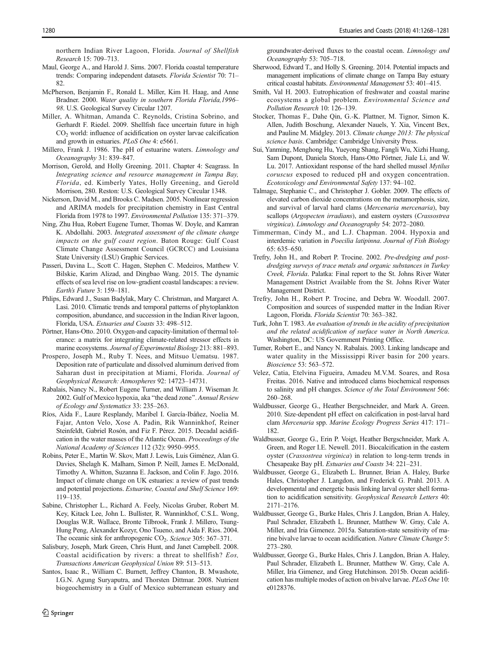<span id="page-13-0"></span>northern Indian River Lagoon, Florida. Journal of Shellfish Research 15: 709–713.

- Maul, George A., and Harold J. Sims. 2007. Florida coastal temperature trends: Comparing independent datasets. Florida Scientist 70: 71– 82.
- McPherson, Benjamin F., Ronald L. Miller, Kim H. Haag, and Anne Bradner. 2000. Water quality in southern Florida Florida,1996– 98. U.S. Geological Survey Circular 1207.
- Miller, A. Whitman, Amanda C. Reynolds, Cristina Sobrino, and Gerhardt F. Riedel. 2009. Shellfish face uncertain future in high CO<sub>2</sub> world: influence of acidification on oyster larvae calcification and growth in estuaries. PLoS One 4: e5661.
- Millero, Frank J. 1986. The pH of estuarine waters. Limnology and Oceanography 31: 839–847.
- Morrison, Gerold, and Holly Greening. 2011. Chapter 4: Seagrass. In Integrating science and resource management in Tampa Bay, Florida, ed. Kimberly Yates, Holly Greening, and Gerold Morrison, 280. Reston: U.S. Geological Survey Circular 1348.
- Nickerson, David M., and Brooks C. Madsen. 2005. Nonlinear regression and ARIMA models for precipitation chemistry in East Central Florida from 1978 to 1997. Environmental Pollution 135: 371–379.
- Ning, Zhu Hua, Robert Eugene Turner, Thomas W. Doyle, and Kamran K. Abdollahi. 2003. Integrated assessment of the climate change impacts on the gulf coast region. Baton Rouge: Gulf Coast Climate Change Assessment Council (GCRCC) and Louisiana State University (LSU) Graphic Services.
- Passeri, Davina L., Scott C. Hagen, Stephen C. Medeiros, Matthew V. Bilskie, Karim Alizad, and Dingbao Wang. 2015. The dynamic effects of sea level rise on low-gradient coastal landscapes: a review. Earth's Future 3: 159–181.
- Phlips, Edward J., Susan Badylak, Mary C. Christman, and Margaret A. Lasi. 2010. Climatic trends and temporal patterns of phytoplankton composition, abundance, and succession in the Indian River lagoon, Florida, USA. Estuaries and Coasts 33: 498–512.
- Pörtner, Hans-Otto. 2010. Oxygen-and capacity-limitation of thermal tolerance: a matrix for integrating climate-related stressor effects in marine ecosystems. Journal of Experimental Biology 213: 881–893.
- Prospero, Joseph M., Ruby T. Nees, and Mitsuo Uematsu. 1987. Deposition rate of particulate and dissolved aluminum derived from Saharan dust in precipitation at Miami, Florida. Journal of Geophysical Research: Atmospheres 92: 14723–14731.
- Rabalais, Nancy N., Robert Eugene Turner, and William J. Wiseman Jr. 2002. Gulf of Mexico hypoxia, aka "the dead zone". Annual Review of Ecology and Systematics 33: 235–263.
- Ríos, Aida F., Laure Resplandy, Maribel I. García-Ibáñez, Noelia M. Fajar, Anton Velo, Xose A. Padin, Rik Wanninkhof, Reiner Steinfeldt, Gabriel Rosón, and Fiz F. Pérez. 2015. Decadal acidification in the water masses of the Atlantic Ocean. Proceedings of the National Academy of Sciences 112 (32): 9950–9955.
- Robins, Peter E., Martin W. Skov, Matt J. Lewis, Luis Giménez, Alan G. Davies, Shelagh K. Malham, Simon P. Neill, James E. McDonald, Timothy A. Whitton, Suzanna E. Jackson, and Colin F. Jago. 2016. Impact of climate change on UK estuaries: a review of past trends and potential projections. Estuarine, Coastal and Shelf Science 169: 119–135.
- Sabine, Christopher L., Richard A. Feely, Nicolas Gruber, Robert M. Key, Kitack Lee, John L. Bullister, R. Wanninkhof, C.S.L. Wong, Douglas W.R. Wallace, Bronte Tilbrook, Frank J. Millero, Tsung-Hung Peng, Alexander Kozyr, Ono Tsueno, and Aida F. Rios. 2004. The oceanic sink for anthropogenic  $CO<sub>2</sub>$ . Science 305: 367–371.
- Salisbury, Joseph, Mark Green, Chris Hunt, and Janet Campbell. 2008. Coastal acidification by rivers: a threat to shellfish? Eos, Transactions American Geophysical Union 89: 513–513.
- Santos, Isaac R., William C. Burnett, Jeffrey Chanton, B. Mwashote, I.G.N. Agung Suryaputra, and Thorsten Dittmar. 2008. Nutrient biogeochemistry in a Gulf of Mexico subterranean estuary and

groundwater-derived fluxes to the coastal ocean. Limnology and Oceanography 53: 705–718.

- Sherwood, Edward T., and Holly S. Greening. 2014. Potential impacts and management implications of climate change on Tampa Bay estuary critical coastal habitats. Environmental Management 53: 401–415.
- Smith, Val H. 2003. Eutrophication of freshwater and coastal marine ecosystems a global problem. Environmental Science and Pollution Research 10: 126–139.
- Stocker, Thomas F., Dahe Qin, G.-K. Plattner, M. Tignor, Simon K. Allen, Judith Boschung, Alexander Nauels, Y. Xia, Vincent Bex, and Pauline M. Midgley. 2013. Climate change 2013: The physical science basis. Cambridge: Cambridge University Press.
- Sui, Yanming, Menghong Hu, Yueyong Shang, Fangli Wu, Xizhi Huang, Sam Dupont, Daniela Storch, Hans-Otto Pörtner, Jiale Li, and W. Lu. 2017. Antioxidant response of the hard shelled mussel Mytilus coruscus exposed to reduced pH and oxygen concentration. Ecotoxicology and Environmental Safety 137: 94–102.
- Talmage, Stephanie C., and Christopher J. Gobler. 2009. The effects of elevated carbon dioxide concentrations on the metamorphosis, size, and survival of larval hard clams (Mercenaria mercenaria), bay scallops (Argopecten irradians), and eastern oysters (Crassostrea virginica). Limnology and Oceanography 54: 2072–2080.
- Timmerman, Cindy M., and L.J. Chapman. 2004. Hypoxia and interdemic variation in Poecilia latipinna. Journal of Fish Biology 65: 635–650.
- Trefry, John H., and Robert P. Trocine. 2002. Pre-dredging and postdredging surveys of trace metals and organic substances in Turkey Creek, Florida. Palatka: Final report to the St. Johns River Water Management District Available from the St. Johns River Water Management District.
- Trefry, John H., Robert P. Trocine, and Debra W. Woodall. 2007. Composition and sources of suspended matter in the Indian River Lagoon, Florida. Florida Scientist 70: 363–382.
- Turk, John T. 1983. An evaluation of trends in the acidity of precipitation and the related acidification of surface water in North America. Washington, DC: US Government Printing Office.
- Turner, Robert E., and Nancy N. Rabalais. 2003. Linking landscape and water quality in the Mississippi River basin for 200 years. Bioscience 53: 563–572.
- Velez, Catia, Etelvina Figueira, Amadeu M.V.M. Soares, and Rosa Freitas. 2016. Native and introduced clams biochemical responses to salinity and pH changes. Science of the Total Environment 566: 260–268.
- Waldbusser, George G., Heather Bergschneider, and Mark A. Green. 2010. Size-dependent pH effect on calcification in post-larval hard clam Mercenaria spp. Marine Ecology Progress Series 417: 171– 182.
- Waldbusser, George G., Erin P. Voigt, Heather Bergschneider, Mark A. Green, and Roger I.E. Newell. 2011. Biocalcification in the eastern oyster (Crassostrea virginica) in relation to long-term trends in Chesapeake Bay pH. Estuaries and Coasts 34: 221–231.
- Waldbusser, George G., Elizabeth L. Brunner, Brian A. Haley, Burke Hales, Christopher J. Langdon, and Frederick G. Prahl. 2013. A developmental and energetic basis linking larval oyster shell formation to acidification sensitivity. Geophysical Research Letters 40: 2171–2176.
- Waldbusser, George G., Burke Hales, Chris J. Langdon, Brian A. Haley, Paul Schrader, Elizabeth L. Brunner, Matthew W. Gray, Cale A. Miller, and Iria Gimenez. 2015a. Saturation-state sensitivity of marine bivalve larvae to ocean acidification. Nature Climate Change 5: 273–280.
- Waldbusser, George G., Burke Hales, Chris J. Langdon, Brian A. Haley, Paul Schrader, Elizabeth L. Brunner, Matthew W. Gray, Cale A. Miller, Iria Gimenez, and Greg Hutchinson. 2015b. Ocean acidification has multiple modes of action on bivalve larvae. PLoS One 10: e0128376.